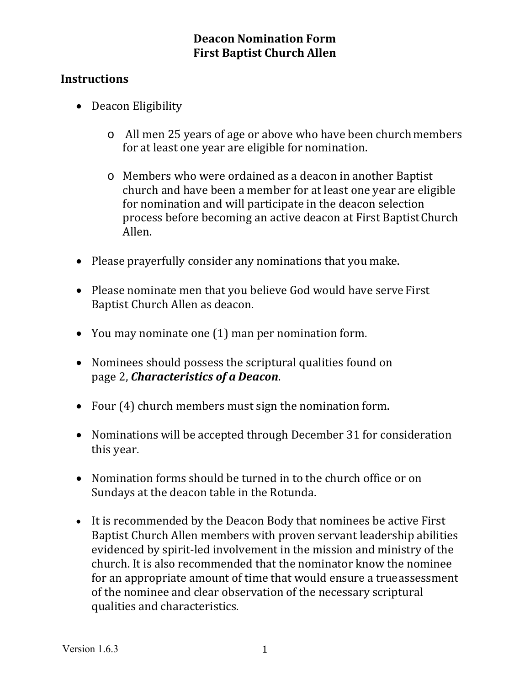### **Deacon Nomination Form First Baptist Church Allen**

### **Instructions**

- Deacon Eligibility
	- o All men 25 years of age or above who have been church members for at least one year are eligible for nomination.
	- o Members who were ordained as a deacon in another Baptist church and have been a member for at least one year are eligible for nomination and will participate in the deacon selection process before becoming an active deacon at First Baptist Church Allen.
- Please prayerfully consider any nominations that you make.
- Please nominate men that you believe God would have serve First Baptist Church Allen as deacon.
- You may nominate one (1) man per nomination form.
- Nominees should possess the scriptural qualities found on page 2, *Characteristics of a Deacon*.
- Four (4) church members must sign the nomination form.
- Nominations will be accepted through December 31 for consideration this year.
- Nomination forms should be turned in to the church office or on Sundays at the deacon table in the Rotunda.
- It is recommended by the Deacon Body that nominees be active First Baptist Church Allen members with proven servant leadership abilities evidenced by spirit-led involvement in the mission and ministry of the church. It is also recommended that the nominator know the nominee for an appropriate amount of time that would ensure a true assessment of the nominee and clear observation of the necessary scriptural qualities and characteristics.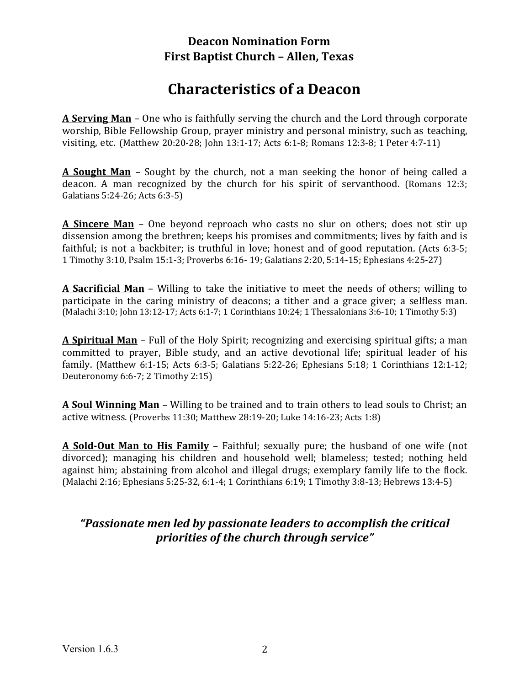### **Deacon Nomination Form First Baptist Church – Allen, Texas**

# **Characteristics of a Deacon**

**A Serving Man** – One who is faithfully serving the church and the Lord through corporate worship, Bible Fellowship Group, prayer ministry and personal ministry, such as teaching, visiting, etc. (Matthew 20:20-28; John 13:1-17; Acts 6:1-8; Romans 12:3-8; 1 Peter 4:7-11)

**A Sought Man** – Sought by the church, not a man seeking the honor of being called a deacon. A man recognized by the church for his spirit of servanthood. (Romans 12:3; Galatians 5:24-26; Acts 6:3-5)

**A Sincere Man** – One beyond reproach who casts no slur on others; does not stir up dissension among the brethren; keeps his promises and commitments; lives by faith and is faithful; is not a backbiter; is truthful in love; honest and of good reputation. (Acts 6:3-5; 1 Timothy 3:10, Psalm 15:1-3; Proverbs 6:16- 19; Galatians 2:20, 5:14-15; Ephesians 4:25-27)

**A Sacrificial Man** – Willing to take the initiative to meet the needs of others; willing to participate in the caring ministry of deacons; a tither and a grace giver; a selfless man. (Malachi 3:10; John 13:12-17; Acts 6:1-7; 1 Corinthians 10:24; 1 Thessalonians 3:6-10; 1 Timothy 5:3)

**A Spiritual Man** – Full of the Holy Spirit; recognizing and exercising spiritual gifts; a man committed to prayer, Bible study, and an active devotional life; spiritual leader of his family. (Matthew 6:1-15; Acts 6:3-5; Galatians 5:22-26; Ephesians 5:18; 1 Corinthians 12:1-12; Deuteronomy 6:6-7; 2 Timothy 2:15)

**A Soul Winning Man** – Willing to be trained and to train others to lead souls to Christ; an active witness. (Proverbs 11:30; Matthew 28:19-20; Luke 14:16-23; Acts 1:8)

**A Sold‐Out Man to His Family** – Faithful; sexually pure; the husband of one wife (not divorced); managing his children and household well; blameless; tested; nothing held against him; abstaining from alcohol and illegal drugs; exemplary family life to the flock. (Malachi 2:16; Ephesians 5:25-32, 6:1-4; 1 Corinthians 6:19; 1 Timothy 3:8-13; Hebrews 13:4-5)

### *"Passionate men led by passionate leaders to accomplish the critical priorities of the church through service"*